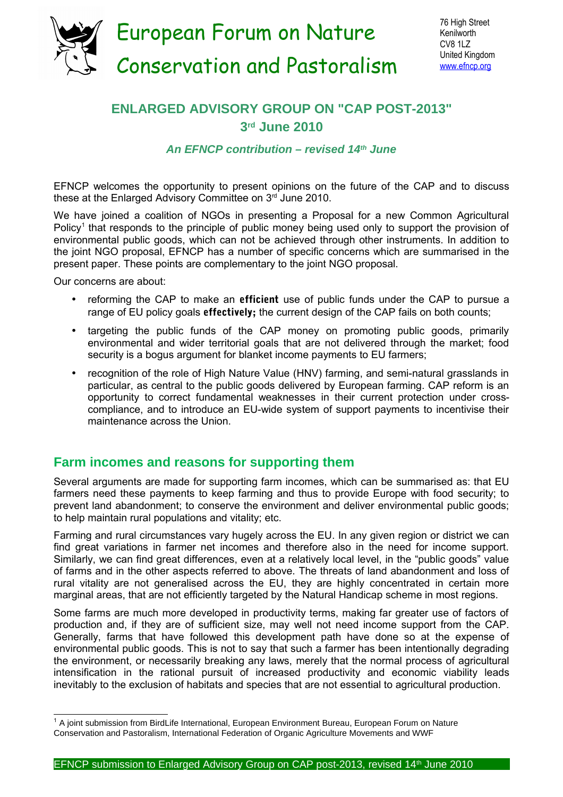

# **ENLARGED ADVISORY GROUP ON "CAP POST-2013" 3 rd June 2010**

#### **An EFNCP contribution – revised 14th June**

EFNCP welcomes the opportunity to present opinions on the future of the CAP and to discuss these at the Enlarged Advisory Committee on 3<sup>rd</sup> June 2010.

We have joined a coalition of NGOs in presenting a Proposal for a new Common Agricultural Policy<sup>[1](#page-0-0)</sup> that responds to the principle of public money being used only to support the provision of environmental public goods, which can not be achieved through other instruments. In addition to the joint NGO proposal, EFNCP has a number of specific concerns which are summarised in the present paper. These points are complementary to the joint NGO proposal.

Our concerns are about:

- reforming the CAP to make an efficient use of public funds under the CAP to pursue a range of EU policy goals **effectively**; the current design of the CAP fails on both counts;
- targeting the public funds of the CAP money on promoting public goods, primarily environmental and wider territorial goals that are not delivered through the market; food security is a bogus argument for blanket income payments to EU farmers;
- recognition of the role of High Nature Value (HNV) farming, and semi-natural grasslands in particular, as central to the public goods delivered by European farming. CAP reform is an opportunity to correct fundamental weaknesses in their current protection under crosscompliance, and to introduce an EU-wide system of support payments to incentivise their maintenance across the Union.

### **Farm incomes and reasons for supporting them**

Several arguments are made for supporting farm incomes, which can be summarised as: that EU farmers need these payments to keep farming and thus to provide Europe with food security; to prevent land abandonment; to conserve the environment and deliver environmental public goods; to help maintain rural populations and vitality; etc.

Farming and rural circumstances vary hugely across the EU. In any given region or district we can find great variations in farmer net incomes and therefore also in the need for income support. Similarly, we can find great differences, even at a relatively local level, in the "public goods" value of farms and in the other aspects referred to above. The threats of land abandonment and loss of rural vitality are not generalised across the EU, they are highly concentrated in certain more marginal areas, that are not efficiently targeted by the Natural Handicap scheme in most regions.

Some farms are much more developed in productivity terms, making far greater use of factors of production and, if they are of sufficient size, may well not need income support from the CAP. Generally, farms that have followed this development path have done so at the expense of environmental public goods. This is not to say that such a farmer has been intentionally degrading the environment, or necessarily breaking any laws, merely that the normal process of agricultural intensification in the rational pursuit of increased productivity and economic viability leads inevitably to the exclusion of habitats and species that are not essential to agricultural production.

<span id="page-0-0"></span><sup>&</sup>lt;sup>1</sup> A joint submission from BirdLife International, European Environment Bureau, European Forum on Nature Conservation and Pastoralism, International Federation of Organic Agriculture Movements and WWF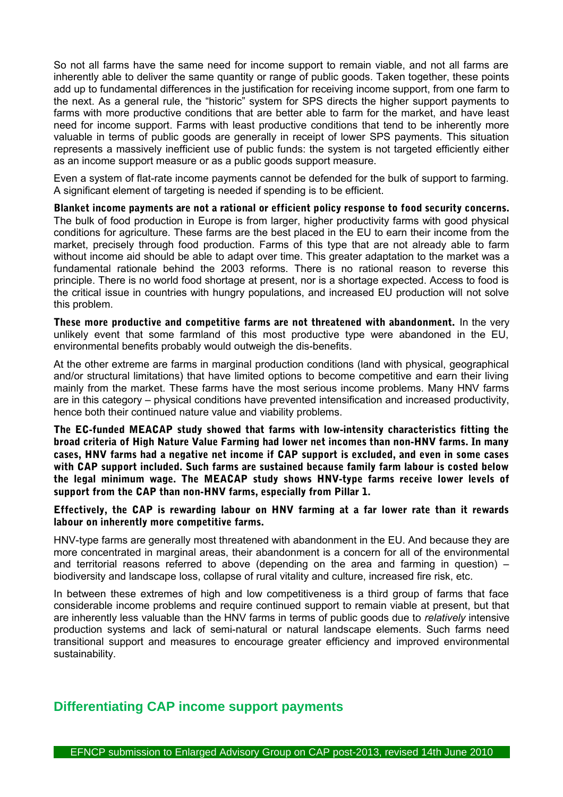So not all farms have the same need for income support to remain viable, and not all farms are inherently able to deliver the same quantity or range of public goods. Taken together, these points add up to fundamental differences in the justification for receiving income support, from one farm to the next. As a general rule, the "historic" system for SPS directs the higher support payments to farms with more productive conditions that are better able to farm for the market, and have least need for income support. Farms with least productive conditions that tend to be inherently more valuable in terms of public goods are generally in receipt of lower SPS payments. This situation represents a massively inefficient use of public funds: the system is not targeted efficiently either as an income support measure or as a public goods support measure.

Even a system of flat-rate income payments cannot be defended for the bulk of support to farming. A significant element of targeting is needed if spending is to be efficient.

Blanket income payments are not a rational or efficient policy response to food security concerns. The bulk of food production in Europe is from larger, higher productivity farms with good physical conditions for agriculture. These farms are the best placed in the EU to earn their income from the market, precisely through food production. Farms of this type that are not already able to farm without income aid should be able to adapt over time. This greater adaptation to the market was a fundamental rationale behind the 2003 reforms. There is no rational reason to reverse this principle. There is no world food shortage at present, nor is a shortage expected. Access to food is the critical issue in countries with hungry populations, and increased EU production will not solve this problem.

These more productive and competitive farms are not threatened with abandonment. In the very unlikely event that some farmland of this most productive type were abandoned in the EU, environmental benefits probably would outweigh the dis-benefits.

At the other extreme are farms in marginal production conditions (land with physical, geographical and/or structural limitations) that have limited options to become competitive and earn their living mainly from the market. These farms have the most serious income problems. Many HNV farms are in this category – physical conditions have prevented intensification and increased productivity, hence both their continued nature value and viability problems.

The EC-funded MEACAP study showed that farms with low-intensity characteristics fitting the broad criteria of High Nature Value Farming had lower net incomes than non-HNV farms. In many cases, HNV farms had a negative net income if CAP support is excluded, and even in some cases with CAP support included. Such farms are sustained because family farm labour is costed below the legal minimum wage. The MEACAP study shows HNV-type farms receive lower levels of support from the CAP than non-HNV farms, especially from Pillar 1.

Effectively, the CAP is rewarding labour on HNV farming at a far lower rate than it rewards labour on inherently more competitive farms.

HNV-type farms are generally most threatened with abandonment in the EU. And because they are more concentrated in marginal areas, their abandonment is a concern for all of the environmental and territorial reasons referred to above (depending on the area and farming in question) – biodiversity and landscape loss, collapse of rural vitality and culture, increased fire risk, etc.

In between these extremes of high and low competitiveness is a third group of farms that face considerable income problems and require continued support to remain viable at present, but that are inherently less valuable than the HNV farms in terms of public goods due to *relatively* intensive production systems and lack of semi-natural or natural landscape elements. Such farms need transitional support and measures to encourage greater efficiency and improved environmental sustainability.

### **Differentiating CAP income support payments**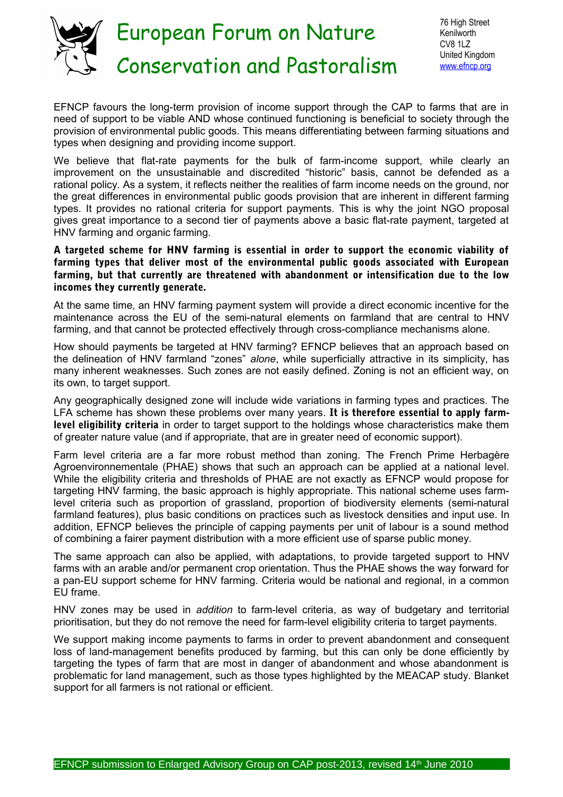

EFNCP favours the long-term provision of income support through the CAP to farms that are in need of support to be viable AND whose continued functioning is beneficial to society through the provision of environmental public goods. This means differentiating between farming situations and types when designing and providing income support.

We believe that flat-rate payments for the bulk of farm-income support, while clearly an improvement on the unsustainable and discredited "historic" basis, cannot be defended as a rational policy. As a system, it reflects neither the realities of farm income needs on the ground, nor the great differences in environmental public goods provision that are inherent in different farming types. It provides no rational criteria for support payments. This is why the joint NGO proposal gives great importance to a second tier of payments above a basic flat-rate payment, targeted at HNV farming and organic farming.

A targeted scheme for HNV farming is essential in order to support the economic viability of farming types that deliver most of the environmental public goods associated with European farming, but that currently are threatened with abandonment or intensification due to the low incomes they currently generate.

At the same time, an HNV farming payment system will provide a direct economic incentive for the maintenance across the EU of the semi-natural elements on farmland that are central to HNV farming, and that cannot be protected effectively through cross-compliance mechanisms alone.

How should payments be targeted at HNV farming? EFNCP believes that an approach based on the delineation of HNV farmland "zones" *alone*, while superficially attractive in its simplicity, has many inherent weaknesses. Such zones are not easily defined. Zoning is not an efficient way, on its own, to target support.

Any geographically designed zone will include wide variations in farming types and practices. The LFA scheme has shown these problems over many years. It is therefore essential to apply farmlevel eligibility criteria in order to target support to the holdings whose characteristics make them of greater nature value (and if appropriate, that are in greater need of economic support).

Farm level criteria are a far more robust method than zoning. The French Prime Herbagère Agroenvironnementale (PHAE) shows that such an approach can be applied at a national level. While the eligibility criteria and thresholds of PHAE are not exactly as EFNCP would propose for targeting HNV farming, the basic approach is highly appropriate. This national scheme uses farmlevel criteria such as proportion of grassland, proportion of biodiversity elements (semi-natural farmland features), plus basic conditions on practices such as livestock densities and input use. In addition, EFNCP believes the principle of capping payments per unit of labour is a sound method of combining a fairer payment distribution with a more efficient use of sparse public money.

The same approach can also be applied, with adaptations, to provide targeted support to HNV farms with an arable and/or permanent crop orientation. Thus the PHAE shows the way forward for a pan-EU support scheme for HNV farming. Criteria would be national and regional, in a common EU frame.

HNV zones may be used in *addition* to farm-level criteria, as way of budgetary and territorial prioritisation, but they do not remove the need for farm-level eligibility criteria to target payments.

We support making income payments to farms in order to prevent abandonment and consequent loss of land-management benefits produced by farming, but this can only be done efficiently by targeting the types of farm that are most in danger of abandonment and whose abandonment is problematic for land management, such as those types highlighted by the MEACAP study. Blanket support for all farmers is not rational or efficient.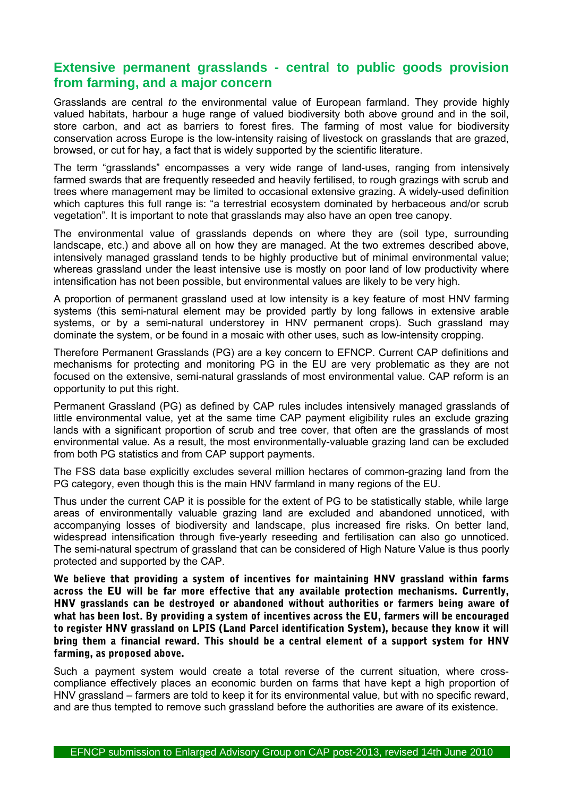## **Extensive permanent grasslands - central to public goods provision from farming, and a major concern**

Grasslands are central *to* the environmental value of European farmland. They provide highly valued habitats, harbour a huge range of valued biodiversity both above ground and in the soil, store carbon, and act as barriers to forest fires. The farming of most value for biodiversity conservation across Europe is the low-intensity raising of livestock on grasslands that are grazed, browsed, or cut for hay, a fact that is widely supported by the scientific literature.

The term "grasslands" encompasses a very wide range of land-uses, ranging from intensively farmed swards that are frequently reseeded and heavily fertilised, to rough grazings with scrub and trees where management may be limited to occasional extensive grazing. A widely-used definition which captures this full range is: "a terrestrial ecosystem dominated by herbaceous and/or scrub vegetation". It is important to note that grasslands may also have an open tree canopy.

The environmental value of grasslands depends on where they are (soil type, surrounding landscape, etc.) and above all on how they are managed. At the two extremes described above, intensively managed grassland tends to be highly productive but of minimal environmental value; whereas grassland under the least intensive use is mostly on poor land of low productivity where intensification has not been possible, but environmental values are likely to be very high.

A proportion of permanent grassland used at low intensity is a key feature of most HNV farming systems (this semi-natural element may be provided partly by long fallows in extensive arable systems, or by a semi-natural understorey in HNV permanent crops). Such grassland may dominate the system, or be found in a mosaic with other uses, such as low-intensity cropping.

Therefore Permanent Grasslands (PG) are a key concern to EFNCP. Current CAP definitions and mechanisms for protecting and monitoring PG in the EU are very problematic as they are not focused on the extensive, semi-natural grasslands of most environmental value. CAP reform is an opportunity to put this right.

Permanent Grassland (PG) as defined by CAP rules includes intensively managed grasslands of little environmental value, yet at the same time CAP payment eligibility rules an exclude grazing lands with a significant proportion of scrub and tree cover, that often are the grasslands of most environmental value. As a result, the most environmentally-valuable grazing land can be excluded from both PG statistics and from CAP support payments.

The FSS data base explicitly excludes several million hectares of common-grazing land from the PG category, even though this is the main HNV farmland in many regions of the EU.

Thus under the current CAP it is possible for the extent of PG to be statistically stable, while large areas of environmentally valuable grazing land are excluded and abandoned unnoticed, with accompanying losses of biodiversity and landscape, plus increased fire risks. On better land, widespread intensification through five-yearly reseeding and fertilisation can also go unnoticed. The semi-natural spectrum of grassland that can be considered of High Nature Value is thus poorly protected and supported by the CAP.

We believe that providing a system of incentives for maintaining HNV grassland within farms across the EU will be far more effective that any available protection mechanisms. Currently, HNV grasslands can be destroyed or abandoned without authorities or farmers being aware of what has been lost. By providing a system of incentives across the EU, farmers will be encouraged to register HNV grassland on LPIS (Land Parcel identification System), because they know it will bring them a financial reward. This should be a central element of a support system for HNV farming, as proposed above.

Such a payment system would create a total reverse of the current situation, where crosscompliance effectively places an economic burden on farms that have kept a high proportion of HNV grassland – farmers are told to keep it for its environmental value, but with no specific reward, and are thus tempted to remove such grassland before the authorities are aware of its existence.